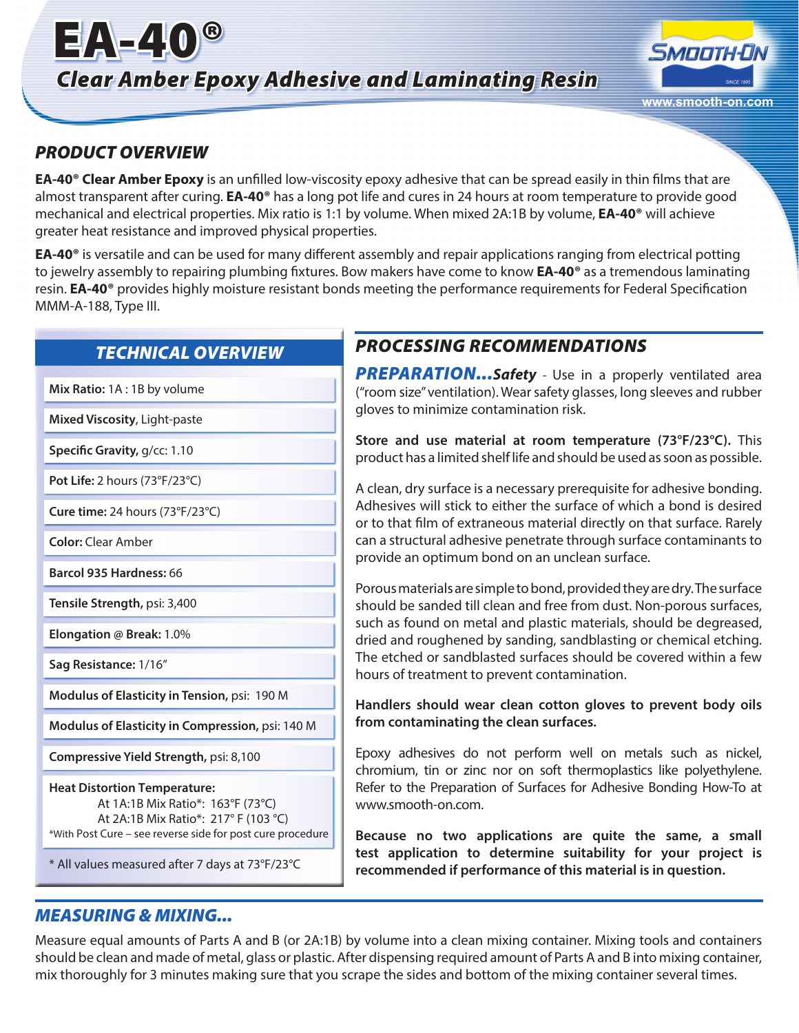# EA-40® *Clear Amber Epoxy Adhesive and Laminating Resin*



## *PRODUCT OVERVIEW*

**EA-40® Clear Amber Epoxy** is an unfilled low-viscosity epoxy adhesive that can be spread easily in thin films that are almost transparent after curing. **EA-40®** has a long pot life and cures in 24 hours at room temperature to provide good mechanical and electrical properties. Mix ratio is 1:1 by volume. When mixed 2A:1B by volume, **EA-40®** will achieve greater heat resistance and improved physical properties.

**EA-40®** is versatile and can be used for many different assembly and repair applications ranging from electrical potting to jewelry assembly to repairing plumbing fixtures. Bow makers have come to know **EA-40®** as a tremendous laminating resin. **EA-40®** provides highly moisture resistant bonds meeting the performance requirements for Federal Specification MMM-A-188, Type III.

## *TECHNICAL OVERVIEW*

**Mix Ratio:** 1A : 1B by volume

**Mixed Viscosity**, Light-paste

**Specific Gravity,** g/cc: 1.10

**Pot Life:** 2 hours (73°F/23°C)

**Cure time:** 24 hours (73°F/23°C)

**Color:** Clear Amber

**Barcol 935 Hardness:** 66

**Tensile Strength,** psi: 3,400

**Elongation @ Break:** 1.0%

**Sag Resistance:** 1/16"

**Modulus of Elasticity in Tension,** psi: 190 M

**Modulus of Elasticity in Compression,** psi: 140 M

**Compressive Yield Strength,** psi: 8,100

**Heat Distortion Temperature:** At 1A:1B Mix Ratio\*: 163°F (73°C) At 2A:1B Mix Ratio\*: 217° F (103 °C) \*With Post Cure – see reverse side for post cure procedure

\* All values measured after 7 days at 73°F/23°C

# *PROCESSING RECOMMENDATIONS*

**PREPARATION...**Safety - Use in a properly ventilated area ("room size" ventilation). Wear safety glasses, long sleeves and rubber gloves to minimize contamination risk.

**Store and use material at room temperature (73°F/23°C).** This product has a limited shelf life and should be used as soon as possible.

A clean, dry surface is a necessary prerequisite for adhesive bonding. Adhesives will stick to either the surface of which a bond is desired or to that film of extraneous material directly on that surface. Rarely can a structural adhesive penetrate through surface contaminants to provide an optimum bond on an unclean surface.

Porous materials are simple to bond, provided they are dry. The surface should be sanded till clean and free from dust. Non-porous surfaces, such as found on metal and plastic materials, should be degreased, dried and roughened by sanding, sandblasting or chemical etching. The etched or sandblasted surfaces should be covered within a few hours of treatment to prevent contamination.

**Handlers should wear clean cotton gloves to prevent body oils from contaminating the clean surfaces.**

Epoxy adhesives do not perform well on metals such as nickel, chromium, tin or zinc nor on soft thermoplastics like polyethylene. Refer to the Preparation of Surfaces for Adhesive Bonding How-To at www.smooth-on.com.

**Because no two applications are quite the same, a small test application to determine suitability for your project is recommended if performance of this material is in question.**

## *MEASURING & MIXING...*

Measure equal amounts of Parts A and B (or 2A:1B) by volume into a clean mixing container. Mixing tools and containers should be clean and made of metal, glass or plastic. After dispensing required amount of Parts A and B into mixing container, mix thoroughly for 3 minutes making sure that you scrape the sides and bottom of the mixing container several times.